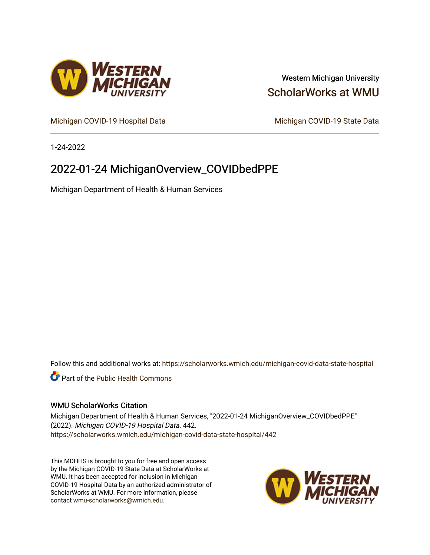

## Western Michigan University [ScholarWorks at WMU](https://scholarworks.wmich.edu/)

[Michigan COVID-19 Hospital Data](https://scholarworks.wmich.edu/michigan-covid-data-state-hospital) Michigan COVID-19 State Data

1-24-2022

# 2022-01-24 MichiganOverview\_COVIDbedPPE

Michigan Department of Health & Human Services

Follow this and additional works at: [https://scholarworks.wmich.edu/michigan-covid-data-state-hospital](https://scholarworks.wmich.edu/michigan-covid-data-state-hospital?utm_source=scholarworks.wmich.edu%2Fmichigan-covid-data-state-hospital%2F442&utm_medium=PDF&utm_campaign=PDFCoverPages) 

**Part of the Public Health Commons** 

#### WMU ScholarWorks Citation

Michigan Department of Health & Human Services, "2022-01-24 MichiganOverview\_COVIDbedPPE" (2022). Michigan COVID-19 Hospital Data. 442. [https://scholarworks.wmich.edu/michigan-covid-data-state-hospital/442](https://scholarworks.wmich.edu/michigan-covid-data-state-hospital/442?utm_source=scholarworks.wmich.edu%2Fmichigan-covid-data-state-hospital%2F442&utm_medium=PDF&utm_campaign=PDFCoverPages) 

This MDHHS is brought to you for free and open access by the Michigan COVID-19 State Data at ScholarWorks at WMU. It has been accepted for inclusion in Michigan COVID-19 Hospital Data by an authorized administrator of ScholarWorks at WMU. For more information, please contact [wmu-scholarworks@wmich.edu](mailto:wmu-scholarworks@wmich.edu).

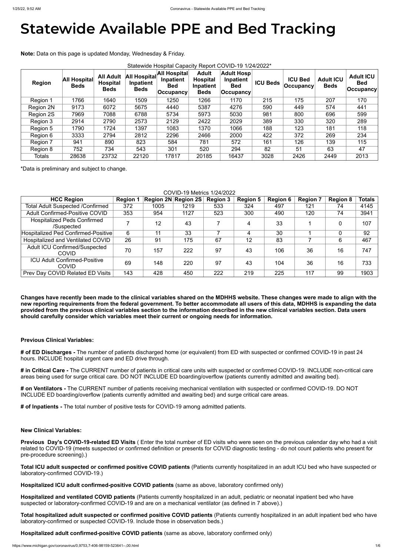# **Statewide Available PPE and Bed Tracking**

**Note:** Data on this page is updated Monday, Wednesday & Friday.

| Statewide Hospital Capacity Report COVID-19 1/24/2022* |                                    |                                                    |                                          |                                                                 |                                                             |                                                           |                 |                                    |                                 |                                               |
|--------------------------------------------------------|------------------------------------|----------------------------------------------------|------------------------------------------|-----------------------------------------------------------------|-------------------------------------------------------------|-----------------------------------------------------------|-----------------|------------------------------------|---------------------------------|-----------------------------------------------|
| <b>Region</b>                                          | <b>All Hospital</b><br><b>Beds</b> | <b>All Adult</b><br><b>Hospital</b><br><b>Beds</b> | All Hospital<br>Inpatient<br><b>Beds</b> | <b>All Hospital</b><br>Inpatient<br><b>Bed</b><br>$ $ Occupancy | <b>Adult</b><br><b>Hospital</b><br>Inpatient<br><b>Beds</b> | <b>Adult Hosp</b><br>Inpatient<br><b>Bed</b><br>Occupancy | <b>ICU Beds</b> | <b>ICU Bed</b><br><b>Occupancy</b> | <b>Adult ICU</b><br><b>Beds</b> | <b>Adult ICU</b><br><b>Bed</b><br>∣Occupancyl |
| Region 1                                               | 1766                               | 1640                                               | 1509                                     | 1250                                                            | 1266                                                        | 1170                                                      | 215             | 175                                | 207                             | 170                                           |
| Region 2N                                              | 9173                               | 6072                                               | 5675                                     | 4440                                                            | 5387                                                        | 4276                                                      | 590             | 449                                | 574                             | 441                                           |
| <b>Region 2S</b>                                       | 7969                               | 7088                                               | 6788                                     | 5734                                                            | 5973                                                        | 5030                                                      | 981             | 800                                | 696                             | 599                                           |
| Region 3                                               | 2914                               | 2790                                               | 2573                                     | 2129                                                            | 2422                                                        | 2029                                                      | 389             | 330                                | 320                             | 289                                           |
| Region 5                                               | 1790                               | 1724                                               | 1397                                     | 1083                                                            | 1370                                                        | 1066                                                      | 188             | 123                                | 181                             | 118                                           |
| Region 6                                               | 3333                               | 2794                                               | 2812                                     | 2296                                                            | 2466                                                        | 2000                                                      | 422             | 372                                | 269                             | 234                                           |
| Region 7                                               | 941                                | 890                                                | 823                                      | 584                                                             | 781                                                         | 572                                                       | 161             | 126                                | 139                             | 115                                           |
| Region 8                                               | 752                                | 734                                                | 543                                      | 301                                                             | 520                                                         | 294                                                       | 82              | 51                                 | 63                              | 47                                            |
| <b>Totals</b>                                          | 28638                              | 23732                                              | 22120                                    | 17817                                                           | 20185                                                       | 16437                                                     | 3028            | 2426                               | 2449                            | 2013                                          |

\*Data is preliminary and subject to change.

COVID-19 Metrics 1/24/2022

| <b>OUVID-10 MULLIUS IIZTIZUZZ</b>                    |                 |      |                                 |                 |                 |                 |                 |                 |               |
|------------------------------------------------------|-----------------|------|---------------------------------|-----------------|-----------------|-----------------|-----------------|-----------------|---------------|
| <b>HCC Region</b>                                    | <b>Region 1</b> |      | $ $ Region 2N $ $ Region 2S $ $ | <b>Region 3</b> | <b>Region 5</b> | <b>Region 6</b> | <b>Region 7</b> | <b>Region 8</b> | <b>Totals</b> |
| <b>Total Adult Suspected /Confirmed</b>              | 372             | 1005 | 1219                            | 533             | 324             | 497             | 121             | 74              | 4145          |
| <b>Adult Confirmed-Positive COVID</b>                | 353             | 954  | 1127                            | 523             | 300             | 490             | 120             | 74              | 3941          |
| <b>Hospitalized Peds Confirmed</b><br>/Suspected     |                 | 12   | 43                              |                 | 4               | 33              |                 |                 | 107           |
| Hospitalized Ped Confirmed-Positive                  | 6               | 11   | 33                              |                 | 4               | 30              |                 |                 | 92            |
| Hospitalized and Ventilated COVID                    | 26              | 91   | 175                             | 67              | 12              | 83              |                 | 6               | 467           |
| <b>Adult ICU Confirmed/Suspected</b><br><b>COVID</b> | 70              | 157  | 222                             | 97              | 43              | 106             | 36              | 16              | 747           |
| <b>ICU Adult Confirmed-Positive</b><br><b>COVID</b>  | 69              | 148  | 220                             | 97              | 43              | 104             | 36              | 16              | 733           |
| Prev Day COVID Related ED Visits                     | 143             | 428  | 450                             | 222             | 219             | 225             | 117             | 99              | 1903          |

**Changes have recently been made to the clinical variables shared on the MDHHS website. These changes were made to align with the new reporting requirements from the federal government. To better accommodate all users of this data, MDHHS is expanding the data provided from the previous clinical variables section to the information described in the new clinical variables section. Data users should carefully consider which variables meet their current or ongoing needs for information.**

#### **Previous Clinical Variables:**

**# of ED Discharges -** The number of patients discharged home (or equivalent) from ED with suspected or confirmed COVID-19 in past 24 hours. INCLUDE hospital urgent care and ED drive through.

**# in Critical Care -** The CURRENT number of patients in critical care units with suspected or confirmed COVID-19. INCLUDE non-critical care areas being used for surge critical care. DO NOT INCLUDE ED boarding/overflow (patients currently admitted and awaiting bed).

**# on Ventilators -** The CURRENT number of patients receiving mechanical ventilation with suspected or confirmed COVID-19. DO NOT INCLUDE ED boarding/overflow (patients currently admitted and awaiting bed) and surge critical care areas.

**# of Inpatients -** The total number of positive tests for COVID-19 among admitted patients.

### **New Clinical Variables:**

**Previous Day's COVID-19-related ED Visits** ( Enter the total number of ED visits who were seen on the previous calendar day who had a visit related to COVID-19 (meets suspected or confirmed definition or presents for COVID diagnostic testing - do not count patients who present for pre-procedure screening).)

**Total ICU adult suspected or confirmed positive COVID patients** (Patients currently hospitalized in an adult ICU bed who have suspected or laboratory-confirmed COVID-19.)

**Hospitalized ICU adult confirmed-positive COVID patients** (same as above, laboratory confirmed only)

**Hospitalized and ventilated COVID patients** (Patients currently hospitalized in an adult, pediatric or neonatal inpatient bed who have suspected or laboratory-confirmed COVID-19 and are on a mechanical ventilator (as defined in 7 above).)

**Total hospitalized adult suspected or confirmed positive COVID patients** (Patients currently hospitalized in an adult inpatient bed who have laboratory-confirmed or suspected COVID-19. Include those in observation beds.)

**Hospitalized adult confirmed-positive COVID patients** (same as above, laboratory confirmed only)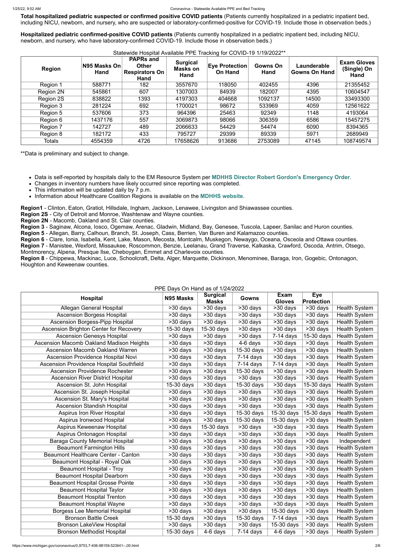**Total hospitalized pediatric suspected or confirmed positive COVID patients** (Patients currently hospitalized in a pediatric inpatient bed, including NICU, newborn, and nursery, who are suspected or laboratory-confirmed-positive for COVID-19. Include those in observation beds.)

**Hospitalized pediatric confirmed-positive COVID patients** (Patients currently hospitalized in a pediatric inpatient bed, including NICU, newborn, and nursery, who have laboratory-confirmed COVID-19. Include those in observation beds.)

- This information will be updated daily by 7 p.m.
- Information about Healthcare Coalition Regions is available on the **[MDHHS website](https://www.michigan.gov/mdhhs/0,5885,7-339-71548_54783_54826_56171-237197--,00.html#hcc)**.

| <b>Region</b> | N95 Masks On<br>Hand | <b>PAPRs and</b><br><b>Other</b><br><b>Respirators On</b><br>Hand | <b>Surgical</b><br><b>Masks on</b><br>Hand | <b>Eye Protection</b><br><b>On Hand</b> | <b>Gowns On</b><br>Hand | Launderable<br><b>Gowns On Hand</b> | <b>Exam Gloves</b><br>(Single) On<br>Hand |
|---------------|----------------------|-------------------------------------------------------------------|--------------------------------------------|-----------------------------------------|-------------------------|-------------------------------------|-------------------------------------------|
| Region 1      | 588771               | 182                                                               | 3557670                                    | 118050                                  | 402455                  | 4396                                | 21355452                                  |
| Region 2N     | 545861               | 607                                                               | 1307003                                    | 84939                                   | 182007                  | 4395                                | 10604547                                  |
| Region 2S     | 838822               | 1393                                                              | 4197303                                    | 404668                                  | 1092137                 | 14500                               | 33493300                                  |
| Region 3      | 281224               | 692                                                               | 1700021                                    | 98672                                   | 533969                  | 4059                                | 12561622                                  |
| Region 5      | 537606               | 373                                                               | 964396                                     | 25463                                   | 92349                   | 1148                                | 4193064                                   |
| Region 6      | 1437176              | 557                                                               | 3069873                                    | 98066                                   | 306359                  | 6586                                | 15457275                                  |
| Region 7      | 142727               | 489                                                               | 2066633                                    | 54429                                   | 54474                   | 6090                                | 8394365                                   |
| Region 8      | 182172               | 433                                                               | 795727                                     | 29399                                   | 89339                   | 5971                                | 2689949                                   |
| <b>Totals</b> | 4554359              | 4726                                                              | 17658626                                   | 913686                                  | 2753089                 | 47145                               | 108749574                                 |

## Statewide Hospital Available PPE Tracking for COVID-19 1/19/2022\*\*

\*\*Data is preliminary and subject to change.

Data is self-reported by hospitals daily to the EM Resource System per **[MDHHS Director Robert Gordon's Emergency Order](https://www.michigan.gov/documents/coronavirus/MDHHS_epidemic_reporting_order_and_instructions_684709_7.pdf)**.

Changes in inventory numbers have likely occurred since reporting was completed.

**Region1** - Clinton, Eaton, Gratiot, Hillsdale, Ingham, Jackson, Lenawee, Livingston and Shiawassee counties.

**Region 2S** - City of Detroit and Monroe, Washtenaw and Wayne counties.

**Region 2N** - Macomb, Oakland and St. Clair counties.

**Region 3** - Saginaw, Alcona, Iosco, Ogemaw, Arenac, Gladwin, Midland, Bay, Genesee, Tuscola, Lapeer, Sanilac and Huron counties.

**Region 5** - Allegan, Barry, Calhoun, Branch, St. Joseph, Cass, Berrien, Van Buren and Kalamazoo counties.

**Region 6** - Clare, Ionia, Isabella, Kent, Lake, Mason, Mecosta, Montcalm, Muskegon, Newaygo, Oceana, Osceola and Ottawa counties.

**Region 7** - Manistee, Wexford, Missaukee, Roscommon, Benzie, Leelanau, Grand Traverse, Kalkaska, Crawford, Oscoda, Antrim, Otsego, Montmorency, Alpena, Presque Ilse, Cheboygan, Emmet and Charlevoix counties.

**Region 8** - Chippewa, Mackinac, Luce, Schoolcraft, Delta, Alger, Marquette, Dickinson, Menominee, Baraga, Iron, Gogebic, Ontonagon, Houghton and Keweenaw counties.

#### PPE Days On Hand as of 1/24/2022

|                                            |                       | <b>Surgical</b>       |                          | <b>Exam</b>             | <b>Eye</b>            |                      |
|--------------------------------------------|-----------------------|-----------------------|--------------------------|-------------------------|-----------------------|----------------------|
| <b>Hospital</b>                            | N95 Masks             | <b>Masks</b>          | Gowns                    | <b>Gloves</b>           | <b>Protection</b>     |                      |
| Allegan General Hospital                   | >30 days              | >30 days              | >30 days                 | >30 days                | >30 days              | <b>Health System</b> |
| <b>Ascension Borgess Hospital</b>          | $>30$ days            | >30 days              | >30 days                 | >30 days                | >30 days              | <b>Health System</b> |
| <b>Ascension Borgess-Pipp Hospital</b>     | >30 days              | >30 days              | >30 days                 | >30 days                | >30 days              | <b>Health System</b> |
| Ascension Brighton Center for Recovery     | 15-30 days            | $15-30$ days          | >30 days                 | $>30$ days              | >30 days              | <b>Health System</b> |
| <b>Ascension Genesys Hospital</b>          | >30 days              | >30 days              | >30 days                 | $7-14$ days             | 15-30 days            | Health System        |
| Ascension Macomb Oakland Madison Heights   | >30 days              | >30 days              | 4-6 days                 | >30 days                | >30 days              | <b>Health System</b> |
| <b>Ascension Macomb Oakland Warren</b>     | >30 days              | >30 days              | 15-30 days               | >30 days                | >30 days              | Health System        |
| Ascension Providence Hospital Novi         | >30 days              | >30 days              | $7-14$ days              | $\overline{>30}$ days   | >30 days              | <b>Health System</b> |
| Ascension Providence Hospital Southfield   | $\overline{>30}$ days | $\overline{>30}$ days | $\overline{7}$ -14 days  | $\overline{7}$ -14 days | $\overline{>}30$ days | <b>Health System</b> |
| <b>Ascension Providence Rochester</b>      | >30 days              | $\overline{>30}$ days | $15-30$ days             | $\overline{>30}$ days   | >30 days              | <b>Health System</b> |
| <b>Ascension River District Hospital</b>   | >30 days              | >30 days              | >30 days                 | >30 days                | >30 days              | <b>Health System</b> |
| Ascension St. John Hospital                | $15-30$ days          | >30 days              | $15-30$ days             | $\overline{>30}$ days   | $15-30$ days          | <b>Health System</b> |
| Ascension St. Joseph Hospital              | $>30$ days            | $\overline{>30}$ days | >30 days                 | $\overline{>30}$ days   | >30 days              | <b>Health System</b> |
| <b>Ascension St. Mary's Hospital</b>       | >30 days              | $\overline{>30}$ days | $\overline{>30}$ days    | $>30$ days              | >30 days              | <b>Health System</b> |
| <b>Ascension Standish Hospital</b>         | >30 days              | $\overline{>30}$ days | >30 days                 | >30 days                | >30 days              | <b>Health System</b> |
| <b>Aspirus Iron River Hospital</b>         | >30 days              | $>30$ days            | $15-30$ days             | 15-30 days              | 15-30 days            | <b>Health System</b> |
| Aspirus Ironwood Hospital                  | $\overline{>30}$ days | $\overline{>30}$ days | $\overline{15}$ -30 days | 15-30 days              | $>30$ days            | <b>Health System</b> |
| Aspirus Keweenaw Hospital                  | >30 days              | $15-30$ days          | $\overline{>30}$ days    | >30 days                | >30 days              | <b>Health System</b> |
| Aspirus Ontonagon Hospital                 | >30 days              | $>30$ days            | $\overline{>30}$ days    | >30 days                | $\overline{>}30$ days | <b>Health System</b> |
| <b>Baraga County Memorial Hospital</b>     | $\overline{>30}$ days | >30 days              | >30 days                 | $\overline{>30}$ days   | >30 days              | Independent          |
| <b>Beaumont Farmington Hills</b>           | $>30$ days            | $\overline{>}30$ days | $>30$ days               | $>30$ days              | >30 days              | <b>Health System</b> |
| <b>Beaumont Healthcare Center - Canton</b> | >30 days              | $>30$ days            | >30 days                 | $>30$ days              | >30 days              | <b>Health System</b> |
| Beaumont Hospital - Royal Oak              | >30 days              | >30 days              | >30 days                 | >30 days                | >30 days              | <b>Health System</b> |
| <b>Beaumont Hospital - Troy</b>            | $>30$ days            | >30 days              | >30 days                 | >30 days                | >30 days              | <b>Health System</b> |
| <b>Beaumont Hospital Dearborn</b>          | >30 days              | >30 days              | >30 days                 | >30 days                | >30 days              | <b>Health System</b> |
| <b>Beaumont Hospital Grosse Pointe</b>     | >30 days              | >30 days              | >30 days                 | >30 days                | >30 days              | <b>Health System</b> |
| <b>Beaumont Hospital Taylor</b>            | >30 days              | >30 days              | >30 days                 | >30 days                | >30 days              | <b>Health System</b> |
| <b>Beaumont Hospital Trenton</b>           | >30 days              | >30 days              | >30 days                 | >30 days                | >30 days              | <b>Health System</b> |
| <b>Beaumont Hospital Wayne</b>             | >30 days              | >30 days              | >30 days                 | >30 days                | >30 days              | <b>Health System</b> |
| <b>Borgess Lee Memorial Hospital</b>       | $\overline{>}30$ days | >30 days              | >30 days                 | 15-30 days              | >30 days              | <b>Health System</b> |
| <b>Bronson Battle Creek</b>                | 15-30 days            | >30 days              | 15-30 days               | $7-14$ days             | >30 days              | <b>Health System</b> |
| <b>Bronson LakeView Hospital</b>           | >30 days              | >30 days              | >30 days                 | $15-30$ days            | >30 days              | <b>Health System</b> |
| <b>Bronson Methodist Hospital</b>          | 15-30 days            | 4-6 days              | $7-14$ days              | 4-6 days                | >30 days              | <b>Health System</b> |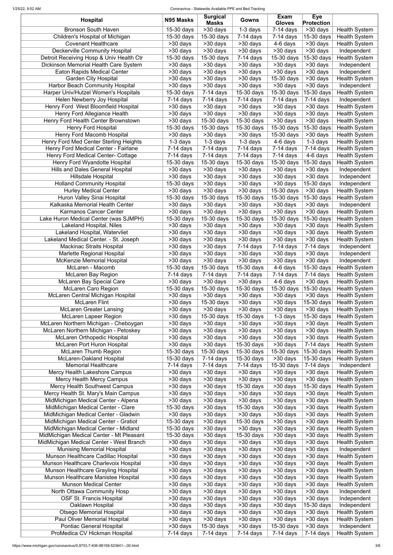#### 1/25/22, 9:52 AM Coronavirus - Statewide Available PPE and Bed Tracking

| <b>Hospital</b>                          | N95 Masks               | <b>Surgical</b><br>Masks | Gowns                    | <b>Exam</b><br><b>Gloves</b>       | <b>Eye</b><br><b>Protection</b> |                      |
|------------------------------------------|-------------------------|--------------------------|--------------------------|------------------------------------|---------------------------------|----------------------|
| <b>Bronson South Haven</b>               | 15-30 days              | >30 days                 | $1-3$ days               | $\overline{7-14}$ days             | $\overline{>30}$ days           | <b>Health System</b> |
| Children's Hospital of Michigan          | 15-30 days              | 15-30 days               | $7-14$ days              | $7-14$ days                        | 15-30 days                      | <b>Health System</b> |
| <b>Covenant Healthcare</b>               | $>30$ days              | >30 days                 | $>30$ days               | 4-6 days                           | >30 days                        | <b>Health System</b> |
| <b>Deckerville Community Hospital</b>    | >30 days                | $>30$ days               | >30 days                 | >30 days                           | >30 days                        | Independent          |
| Detroit Receiving Hosp & Univ Health Ctr | 15-30 days              | 15-30 days               | $7-14$ days              | 15-30 days                         | 15-30 days                      | <b>Health System</b> |
| Dickinson Memorial Health Care System    | >30 days                | >30 days                 | $>30$ days               | >30 days                           | >30 days                        | Independent          |
| <b>Eaton Rapids Medical Center</b>       | >30 days                | >30 days                 | >30 days                 | >30 days                           | >30 days                        | Independent          |
| <b>Garden City Hospital</b>              | >30 days                | >30 days                 | >30 days                 | 15-30 days                         | >30 days                        | <b>Health System</b> |
| <b>Harbor Beach Community Hospital</b>   | >30 days                | >30 days                 | >30 days                 | >30 days                           | >30 days                        | Independent          |
| Harper Univ/Hutzel Women's Hospitals     | 15-30 days              | $7-14$ days              | 15-30 days               | 15-30 days                         | 15-30 days                      | <b>Health System</b> |
| Helen Newberry Joy Hospital              | $7-14$ days             | $7-14$ days              | $7-14$ days              | $7-14$ days                        | $\overline{7}$ -14 days         | Independent          |
| Henry Ford West Bloomfield Hospital      | >30 days                | >30 days                 | >30 days                 | >30 days                           | >30 days                        | <b>Health System</b> |
| Henry Ford Allegiance Health             | >30 days                | >30 days                 | >30 days                 | >30 days                           | >30 days                        | <b>Health System</b> |
| Henry Ford Health Center Brownstown      | >30 days                | 15-30 days               | $15-30$ days             | >30 days                           | >30 days                        | <b>Health System</b> |
| <b>Henry Ford Hospital</b>               | 15-30 days              | 15-30 days               | 15-30 days               | 15-30 days                         | 15-30 days                      | <b>Health System</b> |
| Henry Ford Macomb Hospital               | >30 days                | >30 days                 | >30 days                 | 15-30 days                         | >30 days                        | <b>Health System</b> |
| Henry Ford Med Center Sterling Heights   | $1-3$ days              | 1-3 days                 | $1-3$ days               | 4-6 days                           | $1-3$ days                      | <b>Health System</b> |
| Henry Ford Medical Center - Fairlane     | $7-14$ days             | $7-14$ days              | $7-14$ days              | $7-14$ days                        | $7-14$ days                     | <b>Health System</b> |
| Henry Ford Medical Center- Cottage       | $7-14$ days             | $7-14$ days              | $\overline{7}$ -14 days  | $7-14$ days                        | 4-6 days                        | <b>Health System</b> |
| Henry Ford Wyandotte Hospital            | 15-30 days              | 15-30 days               | 15-30 days               | 15-30 days                         | 15-30 days                      | <b>Health System</b> |
| <b>Hills and Dales General Hospital</b>  | >30 days                | >30 days                 | $\overline{>30}$ days    | >30 days                           | $\overline{>30}$ days           | Independent          |
| <b>Hillsdale Hospital</b>                | >30 days                | $\overline{>30}$ days    | >30 days                 | $\overline{\phantom{1}}$ > 30 days | $>30$ days                      | Independent          |
| <b>Holland Community Hospital</b>        | 15-30 days              | >30 days                 | $>30$ days               | >30 days                           | 15-30 days                      | Independent          |
| <b>Hurley Medical Center</b>             | >30 days                | $\overline{>}30$ days    | >30 days                 | 15-30 days                         | >30 days                        | <b>Health System</b> |
| Huron Valley Sinai Hospital              | 15-30 days              | $\overline{15}$ -30 days | $15-30$ days             | 15-30 days                         | $15-30$ days                    | <b>Health System</b> |
| Kalkaska Memorial Health Center          | >30 days                | $>30$ days               | >30 days                 | $\overline{\phantom{1}}$ > 30 days | >30 days                        | Independent          |
| <b>Karmanos Cancer Center</b>            | $>30$ days              | >30 days                 | $\overline{>30}$ days    | >30 days                           | $\overline{>30}$ days           | <b>Health System</b> |
| Lake Huron Medical Center (was SJMPH)    | $\overline{1}5-30$ days | $\overline{15}$ -30 days | $\overline{1}5-30$ days  | $\overline{15}$ -30 days           | $\sqrt{15-30}$ days             | <b>Health System</b> |
| Lakeland Hospital, Niles                 | >30 days                | >30 days                 | >30 days                 | $>30$ days                         | >30 days                        | <b>Health System</b> |
| Lakeland Hospital, Watervliet            | >30 days                | >30 days                 | $>30$ days               | $>30$ days                         | >30 days                        | <b>Health System</b> |
| Lakeland Medical Center. - St. Joseph    | >30 days                | >30 days                 | >30 days                 | >30 days                           | >30 days                        | <b>Health System</b> |
| <b>Mackinac Straits Hospital</b>         | >30 days                | >30 days                 | $7-14$ days              | $7-14$ days                        | $7-14$ days                     | Independent          |
| Marlette Regional Hospital               | $>30$ days              | >30 days                 | >30 days                 | >30 days                           | >30 days                        | Independent          |
| <b>McKenzie Memorial Hospital</b>        | >30 days                | >30 days                 | >30 days                 | >30 days                           | >30 days                        | Independent          |
| McLaren - Macomb                         | 15-30 days              | 15-30 days               | 15-30 days               | 4-6 days                           | 15-30 days                      | <b>Health System</b> |
| <b>McLaren Bay Region</b>                | $7-14$ days             | $7-14$ days              | $7-14$ days              | $7-14$ days                        | $7-14$ days                     | <b>Health System</b> |
| <b>McLaren Bay Special Care</b>          | >30 days                | >30 days                 | >30 days                 | 4-6 days                           | >30 days                        | <b>Health System</b> |
| <b>McLaren Caro Region</b>               | 15-30 days              | 15-30 days               | 15-30 days               | 15-30 days                         | 15-30 days                      | <b>Health System</b> |
| McLaren Central Michigan Hospital        | $>30$ days              | >30 days                 | >30 days                 | >30 days                           | >30 days                        | <b>Health System</b> |
| <b>McLaren Flint</b>                     | >30 days                | 15-30 days               | >30 days                 | >30 days                           | 15-30 days                      | <b>Health System</b> |
| <b>McLaren Greater Lansing</b>           | >30 days                | >30 days                 | >30 days                 | >30 days                           | >30 days                        | <b>Health System</b> |
| <b>McLaren Lapeer Region</b>             | >30 days                | 15-30 days               | 15-30 days               | $1-3$ days                         | 15-30 days                      | <b>Health System</b> |
| McLaren Northern Michigan - Cheboygan    | >30 days                | >30 days                 | >30 days                 | >30 days                           | >30 days                        | <b>Health System</b> |
| McLaren Northern Michigan - Petoskey     | >30 days                | >30 days                 | >30 days                 | >30 days                           | >30 days                        | <b>Health System</b> |
| McLaren Orthopedic Hospital              | >30 days                | >30 days                 | >30 days                 | >30 days                           | >30 days                        | <b>Health System</b> |
| <b>McLaren Port Huron Hospital</b>       | >30 days                | >30 days                 | 15-30 days               | >30 days                           | $7-14$ days                     | <b>Health System</b> |
| <b>McLaren Thumb Region</b>              | 15-30 days              | 15-30 days               | 15-30 days               | 15-30 days                         | 15-30 days                      | <b>Health System</b> |
| McLaren-Oakland Hospital                 | 15-30 days              | $7-14$ days              | 15-30 days               | >30 days                           | 15-30 days                      | <b>Health System</b> |
| <b>Memorial Healthcare</b>               | $7-14$ days             | $\overline{7}$ -14 days  | $\overline{7}$ -14 days  | 15-30 days                         | $7-14$ days                     | Independent          |
| Mercy Health Lakeshore Campus            | >30 days                | >30 days                 | >30 days                 | >30 days                           | >30 days                        | <b>Health System</b> |
| <b>Mercy Health Mercy Campus</b>         | >30 days                | $\overline{>30}$ days    | $>30$ days               | >30 days                           | >30 days                        | <b>Health System</b> |
| <b>Mercy Health Southwest Campus</b>     | >30 days                | >30 days                 | $15-30$ days             | >30 days                           | 15-30 days                      | <b>Health System</b> |
| Mercy Health St. Mary's Main Campus      | $\overline{>30}$ days   | >30 days                 | >30 days                 | >30 days                           | >30 days                        | <b>Health System</b> |
| MidMichigan Medical Center - Alpena      | >30 days                | >30 days                 | >30 days                 | >30 days                           | >30 days                        | <b>Health System</b> |
| MidMichigan Medical Center - Clare       | 15-30 days              | $\overline{>30}$ days    | 15-30 days               | >30 days                           | >30 days                        | <b>Health System</b> |
| MidMichigan Medical Center - Gladwin     | >30 days                | >30 days                 | >30 days                 | >30 days                           | >30 days                        | <b>Health System</b> |
| MidMichigan Medical Center - Gratiot     | $15-30$ days            | >30 days                 | $\overline{15}$ -30 days | >30 days                           | >30 days                        | <b>Health System</b> |
| MidMichigan Medical Center - Midland     | 15-30 days              | >30 days                 | >30 days                 | >30 days                           | >30 days                        | <b>Health System</b> |
| MidMichigan Medical Center - Mt Pleasant | 15-30 days              | >30 days                 | 15-30 days               | >30 days                           | >30 days                        | <b>Health System</b> |
| MidMichigan Medical Center - West Branch | >30 days                | >30 days                 | >30 days                 | >30 days                           | >30 days                        | <b>Health System</b> |
| <b>Munising Memorial Hospital</b>        | >30 days                | >30 days                 | >30 days                 | >30 days                           | $>30$ days                      | Independent          |
| Munson Healthcare Cadillac Hospital      | >30 days                | >30 days                 | >30 days                 | >30 days                           | >30 days                        | <b>Health System</b> |
| Munson Healthcare Charlevoix Hospital    | >30 days                | >30 days                 | >30 days                 | >30 days                           | >30 days                        | <b>Health System</b> |
| Munson Healthcare Grayling Hospital      | >30 days                | >30 days                 | >30 days                 | >30 days                           | >30 days                        | <b>Health System</b> |
| Munson Healthcare Manistee Hospital      | >30 days                | >30 days                 | >30 days                 | >30 days                           | >30 days                        | <b>Health System</b> |
| <b>Munson Medical Center</b>             | >30 days                | >30 days                 | >30 days                 | >30 days                           | $>30$ days                      | <b>Health System</b> |
| North Ottawa Community Hosp              | >30 days                | >30 days                 | >30 days                 | >30 days                           | >30 days                        | Independent          |
| <b>OSF St. Francis Hospital</b>          | >30 days                | >30 days                 | >30 days                 | >30 days                           | >30 days                        | Independent          |
| Oaklawn Hospital                         | >30 days                | >30 days                 | >30 days                 | >30 days                           | 15-30 days                      | Independent          |
| <b>Otsego Memorial Hospital</b>          | >30 days                | >30 days                 | >30 days                 | >30 days                           | >30 days                        | <b>Health System</b> |
| <b>Paul Oliver Memorial Hospital</b>     | >30 days                | >30 days                 | >30 days                 | >30 days                           | >30 days                        | <b>Health System</b> |
| <b>Pontiac General Hospital</b>          | >30 days                | 15-30 days               | >30 days                 | 15-30 days                         | $>30$ days                      | Independent          |
| ProMedica CV Hickman Hospital            | $7-14$ days             | $7-14$ days              | $7-14$ days              | $7-14$ days                        | $7-14$ days                     | <b>Health System</b> |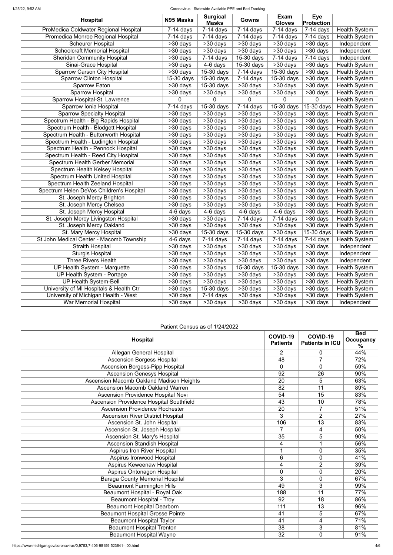#### 1/25/22, 9:52 AM Coronavirus - Statewide Available PPE and Bed Tracking

| <b>Hospital</b>                          | N95 Masks               | <b>Surgical</b><br><b>Masks</b>    | Gowns                   | <b>Exam</b><br><b>Gloves</b> | <b>Eye</b><br><b>Protection</b> |                      |
|------------------------------------------|-------------------------|------------------------------------|-------------------------|------------------------------|---------------------------------|----------------------|
| ProMedica Coldwater Regional Hospital    | $7-14$ days             | $\overline{7}$ -14 days            | $7-14$ days             | $\overline{7}$ -14 days      | $7-14$ days                     | <b>Health System</b> |
| Promedica Monroe Regional Hospital       | $\overline{7}$ -14 days | $7-14$ days                        | $\overline{7}$ -14 days | $7-14$ days                  | $7-14$ days                     | <b>Health System</b> |
| <b>Scheurer Hospital</b>                 | >30 days                | >30 days                           | >30 days                | >30 days                     | >30 days                        | Independent          |
| <b>Schoolcraft Memorial Hospital</b>     | >30 days                | $>30$ days                         | >30 days                | $>30$ days                   | >30 days                        | Independent          |
| <b>Sheridan Community Hospital</b>       | >30 days                | $7-14$ days                        | 15-30 days              | $7-14$ days                  | $7-14$ days                     | Independent          |
| Sinai-Grace Hospital                     | >30 days                | 4-6 days                           | 15-30 days              | $>30$ days                   | $>30$ days                      | <b>Health System</b> |
| <b>Sparrow Carson City Hospital</b>      | >30 days                | 15-30 days                         | $7-14$ days             | 15-30 days                   | >30 days                        | <b>Health System</b> |
| <b>Sparrow Clinton Hospital</b>          | 15-30 days              | 15-30 days                         | $7-14$ days             | 15-30 days                   | >30 days                        | <b>Health System</b> |
| <b>Sparrow Eaton</b>                     | >30 days                | 15-30 days                         | >30 days                | >30 days                     | >30 days                        | <b>Health System</b> |
| <b>Sparrow Hospital</b>                  | >30 days                | >30 days                           | >30 days                | >30 days                     | >30 days                        | <b>Health System</b> |
| Sparrow Hospital-St. Lawrence            | 0                       | $\overline{0}$                     | 0                       | 0                            | 0                               | <b>Health System</b> |
| Sparrow Ionia Hospital                   | $7-14$ days             | 15-30 days                         | $\overline{7}$ -14 days | $15-30$ days                 | 15-30 days                      | <b>Health System</b> |
| <b>Sparrow Specialty Hospital</b>        | >30 days                | $>30$ days                         | >30 days                | >30 days                     | >30 days                        | <b>Health System</b> |
| Spectrum Health - Big Rapids Hospital    | >30 days                | >30 days                           | >30 days                | >30 days                     | $>30$ days                      | <b>Health System</b> |
| Spectrum Health - Blodgett Hospital      | >30 days                | >30 days                           | >30 days                | >30 days                     | >30 days                        | <b>Health System</b> |
| Spectrum Health - Butterworth Hospital   | >30 days                | $>30$ days                         | >30 days                | $>30$ days                   | >30 days                        | <b>Health System</b> |
| Spectrum Health - Ludington Hospital     | >30 days                | >30 days                           | >30 days                | >30 days                     | >30 days                        | <b>Health System</b> |
| Spectrum Health - Pennock Hospital       | >30 days                | >30 days                           | >30 days                | >30 days                     | >30 days                        | <b>Health System</b> |
| Spectrum Health - Reed City Hospital     | $\overline{>30}$ days   | >30 days                           | >30 days                | >30 days                     | >30 days                        | <b>Health System</b> |
| Spectrum Health Gerber Memorial          | >30 days                | $\overline{>30}$ days              | >30 days                | $\overline{>30}$ days        | >30 days                        | <b>Health System</b> |
| Spectrum Health Kelsey Hospital          | $>30$ days              | >30 days                           | >30 days                | >30 days                     | $\overline{>30}$ days           | <b>Health System</b> |
| <b>Spectrum Health United Hospital</b>   | >30 days                | $\overline{>30}$ days              | $>30$ days              | >30 days                     | $\overline{>30}$ days           | <b>Health System</b> |
| Spectrum Health Zeeland Hospital         | $\overline{>30}$ days   | $\overline{>30}$ days              | >30 days                | >30 days                     | $\overline{>30}$ days           | <b>Health System</b> |
| Spectrum Helen DeVos Children's Hospital | $>30$ days              | $\overline{>30}$ days              | >30 days                | $\overline{>30}$ days        | $>30$ days                      | <b>Health System</b> |
| St. Joseph Mercy Brighton                | $>30$ days              | >30 days                           | >30 days                | >30 days                     | $\overline{>30}$ days           | <b>Health System</b> |
| St. Joseph Mercy Chelsea                 | $>30$ days              | $\overline{\phantom{1}}$ > 30 days | >30 days                | $\overline{>30}$ days        | $\overline{>30}$ days           | <b>Health System</b> |
| St. Joseph Mercy Hospital                | $\overline{4}$ -6 days  | 4-6 days                           | 4-6 days                | $\overline{4}$ -6 days       | >30 days                        | <b>Health System</b> |
| St. Joseph Mercy Livingston Hospital     | $>30$ days              | $\overline{>30}$ days              | $7-14$ days             | $7-14$ days                  | >30 days                        | <b>Health System</b> |
| St. Joseph Mercy Oakland                 | >30 days                | >30 days                           | >30 days                | >30 days                     | >30 days                        | <b>Health System</b> |
| St. Mary Mercy Hospital                  | >30 days                | $15-30$ days                       | 15-30 days              | >30 days                     | $15-30$ days                    | <b>Health System</b> |
| St.John Medical Center - Macomb Township | 4-6 days                | $7-14$ days                        | $7-14$ days             | $7-14$ days                  | $7-14$ days                     | <b>Health System</b> |
| <b>Straith Hospital</b>                  | >30 days                | >30 days                           | >30 days                | >30 days                     | $\overline{>30}$ days           | Independent          |
| <b>Sturgis Hospital</b>                  | >30 days                | >30 days                           | >30 days                | >30 days                     | >30 days                        | Independent          |
| <b>Three Rivers Health</b>               | >30 days                | >30 days                           | $>30$ days              | $>30$ days                   | $>30$ days                      | Independent          |
| UP Health System - Marquette             | >30 days                | >30 days                           | 15-30 days              | 15-30 days                   | >30 days                        | <b>Health System</b> |
| UP Health System - Portage               | >30 days                | >30 days                           | >30 days                | >30 days                     | >30 days                        | <b>Health System</b> |
| <b>UP Health System-Bell</b>             | >30 days                | >30 days                           | $>30$ days              | >30 days                     | >30 days                        | <b>Health System</b> |
| University of MI Hospitals & Health Ctr  | >30 days                | 15-30 days                         | >30 days                | >30 days                     | >30 days                        | <b>Health System</b> |
| University of Michigan Health - West     | >30 days                | $7-14$ days                        | >30 days                | >30 days                     | >30 days                        | <b>Health System</b> |
| War Memorial Hospital                    | >30 days                | >30 days                           | >30 days                | >30 days                     | >30 days                        | Independent          |

## Patient Census as of 1/24/2022

| <b>Hospital</b>                                 | COVID-19<br><b>Patients</b> | COVID-19<br><b>Patients in ICU</b> | <b>Bed</b><br><b>Occupancy</b><br>% |
|-------------------------------------------------|-----------------------------|------------------------------------|-------------------------------------|
| <b>Allegan General Hospital</b>                 | $\overline{2}$              | 0                                  | 44%                                 |
| <b>Ascension Borgess Hospital</b>               | 48                          | $\overline{7}$                     | 72%                                 |
| <b>Ascension Borgess-Pipp Hospital</b>          | $\overline{0}$              | $\overline{0}$                     | 59%                                 |
| <b>Ascension Genesys Hospital</b>               | 92                          | $\overline{26}$                    | 90%                                 |
| <b>Ascension Macomb Oakland Madison Heights</b> | $\overline{20}$             | $\overline{5}$                     | 63%                                 |
| <b>Ascension Macomb Oakland Warren</b>          | $\overline{82}$             | $\overline{11}$                    | 89%                                 |
| Ascension Providence Hospital Novi              | 54                          | $\overline{15}$                    | 83%                                 |
| <b>Ascension Providence Hospital Southfield</b> | $\overline{43}$             | $\overline{10}$                    | 78%                                 |
| <b>Ascension Providence Rochester</b>           | $\overline{20}$             | $\overline{7}$                     | 51%                                 |
| <b>Ascension River District Hospital</b>        | $\overline{3}$              | $\overline{2}$                     | 27%                                 |
| Ascension St. John Hospital                     | 106                         | $\overline{13}$                    | 83%                                 |
| <b>Ascension St. Joseph Hospital</b>            | $\overline{7}$              | 4                                  | 50%                                 |
| Ascension St. Mary's Hospital                   | $\overline{35}$             | $\overline{5}$                     | 90%                                 |
| <b>Ascension Standish Hospital</b>              | $\overline{4}$              | $\overline{1}$                     | 56%                                 |
| <b>Aspirus Iron River Hospital</b>              | 1                           | $\overline{0}$                     | 35%                                 |
| <b>Aspirus Ironwood Hospital</b>                | 6                           | 0                                  | 41%                                 |
| <b>Aspirus Keweenaw Hospital</b>                | $\overline{\mathbf{4}}$     | $\overline{2}$                     | 39%                                 |
| <b>Aspirus Ontonagon Hospital</b>               | $\mathbf 0$                 | $\overline{0}$                     | 20%                                 |
| <b>Baraga County Memorial Hospital</b>          | 3                           | 0                                  | 67%                                 |
| <b>Beaumont Farmington Hills</b>                | 49                          | 3                                  | 99%                                 |
| <b>Beaumont Hospital - Royal Oak</b>            | 188                         | 11                                 | 77%                                 |
| <b>Beaumont Hospital - Troy</b>                 | 92                          | $\overline{18}$                    | 86%                                 |
| <b>Beaumont Hospital Dearborn</b>               | 111                         | 13                                 | 96%                                 |
| <b>Beaumont Hospital Grosse Pointe</b>          | 41                          | 5                                  | 67%                                 |
| <b>Beaumont Hospital Taylor</b>                 | 41                          | $\overline{4}$                     | 71%                                 |
| <b>Beaumont Hospital Trenton</b>                | 38                          | 3                                  | 81%                                 |
| <b>Beaumont Hospital Wayne</b>                  | 32                          | $\overline{0}$                     | 91%                                 |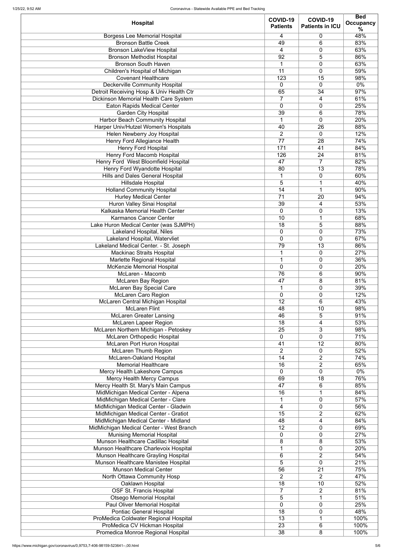| <b>Hospital</b>                                                       | COVID-19<br><b>Patients</b> | COVID-19<br><b>Patients in ICU</b> | <b>Bed</b><br><b>Occupancy</b><br>% |
|-----------------------------------------------------------------------|-----------------------------|------------------------------------|-------------------------------------|
| <b>Borgess Lee Memorial Hospital</b>                                  | 4                           | 0                                  | 48%                                 |
| <b>Bronson Battle Creek</b>                                           | 49                          | 6                                  | 83%                                 |
| <b>Bronson LakeView Hospital</b>                                      | 4                           | 0                                  | 63%                                 |
| <b>Bronson Methodist Hospital</b>                                     | 92                          | 5                                  | 86%                                 |
| <b>Bronson South Haven</b>                                            | $\mathbf 1$                 | 0                                  | 63%                                 |
| Children's Hospital of Michigan                                       | 11                          | 0                                  | 59%                                 |
| <b>Covenant Healthcare</b>                                            | 123                         | 15                                 | 98%                                 |
| Deckerville Community Hospital                                        | 0                           | $\mathbf 0$                        | $0\%$                               |
| Detroit Receiving Hosp & Univ Health Ctr                              | 65                          | 34                                 | 97%                                 |
| Dickinson Memorial Health Care System                                 | $\overline{7}$              | 4                                  | 61%                                 |
| <b>Eaton Rapids Medical Center</b>                                    | $\overline{0}$              | 0                                  | 25%                                 |
| <b>Garden City Hospital</b><br><b>Harbor Beach Community Hospital</b> | 39<br>$\mathbf 1$           | 6<br>0                             | 78%<br>20%                          |
| Harper Univ/Hutzel Women's Hospitals                                  | 40                          | 26                                 | 88%                                 |
| Helen Newberry Joy Hospital                                           | $\overline{2}$              | 0                                  | 12%                                 |
| Henry Ford Allegiance Health                                          | 77                          | 28                                 | 74%                                 |
| <b>Henry Ford Hospital</b>                                            | 171                         | 41                                 | 84%                                 |
| Henry Ford Macomb Hospital                                            | 126                         | 24                                 | 81%                                 |
| Henry Ford West Bloomfield Hospital                                   | 47                          | $\overline{7}$                     | 82%                                 |
| Henry Ford Wyandotte Hospital                                         | 80                          | 13                                 | 78%                                 |
| <b>Hills and Dales General Hospital</b>                               | $\mathbf 1$                 | 0                                  | 60%                                 |
| <b>Hillsdale Hospital</b>                                             | 5                           | 1                                  | 40%                                 |
| <b>Holland Community Hospital</b>                                     | 14                          | 1                                  | 90%                                 |
| <b>Hurley Medical Center</b>                                          | 71                          | 20                                 | 94%                                 |
| <b>Huron Valley Sinai Hospital</b>                                    | 39                          | 4                                  | 53%                                 |
| Kalkaska Memorial Health Center                                       | $\mathbf 0$                 | 0                                  | 13%                                 |
| <b>Karmanos Cancer Center</b>                                         | 10                          | 1                                  | 68%                                 |
| Lake Huron Medical Center (was SJMPH)                                 | $\overline{18}$             | $\overline{5}$                     | 88%                                 |
| <b>Lakeland Hospital, Niles</b>                                       | $\mathbf 0$                 | 0                                  | 73%                                 |
| Lakeland Hospital, Watervliet                                         | 0                           | 0                                  | 67%                                 |
| Lakeland Medical Center. - St. Joseph                                 | 79                          | 13                                 | 86%                                 |
| <b>Mackinac Straits Hospital</b><br><b>Marlette Regional Hospital</b> | 1<br>$\mathbf 1$            | $\mathbf 0$<br>$\overline{0}$      | 27%<br>36%                          |
| McKenzie Memorial Hospital                                            | $\mathbf 0$                 | 0                                  | 20%                                 |
| McLaren - Macomb                                                      | 76                          | 6                                  | 90%                                 |
| <b>McLaren Bay Region</b>                                             | 47                          | 8                                  | 81%                                 |
| <b>McLaren Bay Special Care</b>                                       | $\mathbf 1$                 | 0                                  | 39%                                 |
| <b>McLaren Caro Region</b>                                            | $\mathbf 0$                 | 0                                  | 12%                                 |
| McLaren Central Michigan Hospital                                     | 12                          | 6                                  | 43%                                 |
| <b>McLaren Flint</b>                                                  | 48                          | 10                                 | 98%                                 |
| <b>McLaren Greater Lansing</b>                                        | 46                          | 5                                  | 91%                                 |
| <b>McLaren Lapeer Region</b>                                          | 18                          | 4                                  | 53%                                 |
| McLaren Northern Michigan - Petoskey                                  | 25                          | 3                                  | 98%                                 |
| McLaren Orthopedic Hospital                                           | $\mathbf 0$                 | 0                                  | 71%                                 |
| <b>McLaren Port Huron Hospital</b>                                    | 41                          | 12                                 | 80%                                 |
| <b>McLaren Thumb Region</b>                                           | 2                           | $\mathbf 0$                        | 52%                                 |
| McLaren-Oakland Hospital                                              | 14                          | $\overline{2}$                     | 74%                                 |
| <b>Memorial Healthcare</b>                                            | 16<br>$\overline{0}$        | $\overline{2}$<br>$\overline{0}$   | 65%<br>$0\%$                        |
| Mercy Health Lakeshore Campus<br><b>Mercy Health Mercy Campus</b>     | 69                          | 18                                 | 76%                                 |
| Mercy Health St. Mary's Main Campus                                   | 47                          | 6                                  | 85%                                 |
| MidMichigan Medical Center - Alpena                                   | 16                          | 1                                  | 84%                                 |
| MidMichigan Medical Center - Clare                                    | $\mathbf 1$                 | $\mathbf 0$                        | 57%                                 |
| MidMichigan Medical Center - Gladwin                                  | 4                           | 0                                  | 56%                                 |
| MidMichigan Medical Center - Gratiot                                  | $\overline{15}$             | $\overline{2}$                     | 62%                                 |
| MidMichigan Medical Center - Midland                                  | 48                          | 4                                  | 84%                                 |
| MidMichigan Medical Center - West Branch                              | 12                          | 0                                  | 69%                                 |
| <b>Munising Memorial Hospital</b>                                     | $\overline{0}$              | $\overline{0}$                     | 27%                                 |
| Munson Healthcare Cadillac Hospital                                   | 8                           | 8                                  | 53%                                 |
| Munson Healthcare Charlevoix Hospital                                 |                             | $\mathbf 0$                        | 20%                                 |
| Munson Healthcare Grayling Hospital                                   | 6                           | $\overline{2}$                     | 54%                                 |
| Munson Healthcare Manistee Hospital                                   | 5                           | $\overline{0}$                     | 21%                                 |
| <b>Munson Medical Center</b>                                          | 56                          | 21                                 | 75%                                 |
| North Ottawa Community Hosp                                           | 2                           | $\overline{2}$                     | 47%                                 |
| Oaklawn Hospital                                                      | 18                          | 10                                 | 52%                                 |
| <b>OSF St. Francis Hospital</b>                                       | $\overline{7}$<br>5         | $\overline{2}$<br>1                | 81%<br>51%                          |
| <b>Otsego Memorial Hospital</b><br>Paul Oliver Memorial Hospital      | $\overline{0}$              | $\mathbf 0$                        | 25%                                 |
| <b>Pontiac General Hospital</b>                                       | 18                          | 0                                  | 48%                                 |
| ProMedica Coldwater Regional Hospital                                 | 13                          |                                    | 100%                                |
| ProMedica CV Hickman Hospital                                         | 23                          | 6                                  | 100%                                |
| Promedica Monroe Regional Hospital                                    | 38                          | 8                                  | 100%                                |
|                                                                       |                             |                                    |                                     |